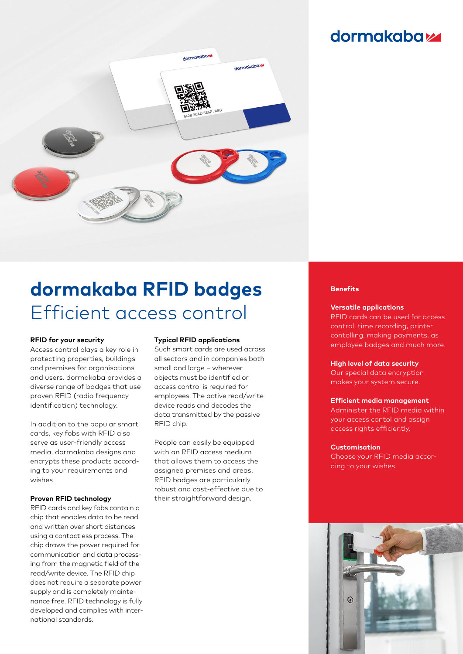## **dormakabazz**



# **dormakaba RFID badges**  Efficient access control

#### **RFID for your security**

Access control plays a key role in protecting properties, buildings and premises for organisations and users. dormakaba provides a diverse range of badges that use proven RFID (radio frequency identification) technology.

In addition to the popular smart cards, key fobs with RFID also serve as user-friendly access media. dormakaba designs and encrypts these products according to your requirements and wishes.

#### **Proven RFID technology**

RFID cards and key fobs contain a chip that enables data to be read and written over short distances using a contactless process. The chip draws the power required for communication and data processing from the magnetic field of the read/write device. The RFID chip does not require a separate power supply and is completely maintenance free. RFID technology is fully developed and complies with international standards.

#### **Typical RFID applications**

Such smart cards are used across all sectors and in companies both small and large – wherever objects must be identified or access control is required for employees. The active read/write device reads and decodes the data transmitted by the passive RFID chip.

People can easily be equipped with an RFID access medium that allows them to access the assigned premises and areas. RFID badges are particularly robust and cost-effective due to their straightforward design.

#### **Benefits**

#### **Versatile applications**

RFID cards can be used for access control, time recording, printer contolling, making payments, as employee badges and much more.

#### **High level of data security**

Our special data encryption makes your system secure.

#### **Efficient media management**

Administer the RFID media within your access contol and assign access rights efficiently.

#### **Customisation**

Choose your RFID media according to your wishes.

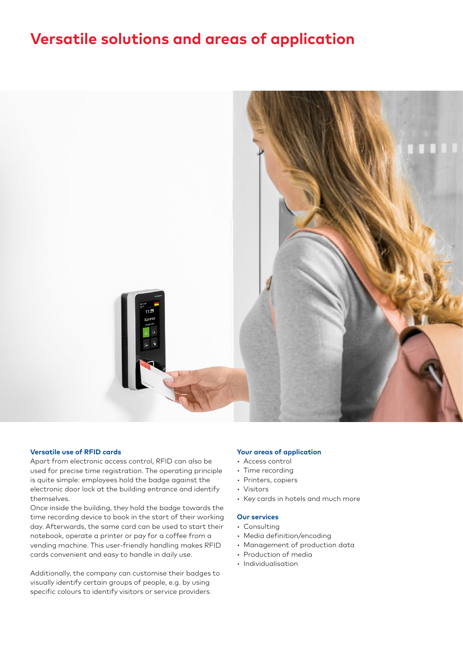## **Versatile solutions and areas of application**



#### **Versatile use of RFID cards**

Apart from electronic access control, RFID can also be used for precise time registration. The operating principle is quite simple: employees hold the badge against the electronic door lock at the building entrance and identify themselves.

Once inside the building, they hold the badge towards the time recording device to book in the start of their working day. Afterwards, the same card can be used to start their notebook, operate a printer or pay for a coffee from a vending machine. This user-friendly handling makes RFID cards convenient and easy to handle in daily use.

Additionally, the company can customise their badges to visually identify certain groups of people, e.g. by using specific colours to identify visitors or service providers.

#### **Your areas of application**

- Access control
- Time recording
- Printers, copiers
- Visitors
- Key cards in hotels and much more

#### **Our services**

- Consulting
- Media definition/encoding
- Management of production data
- Production of media
- Individualisation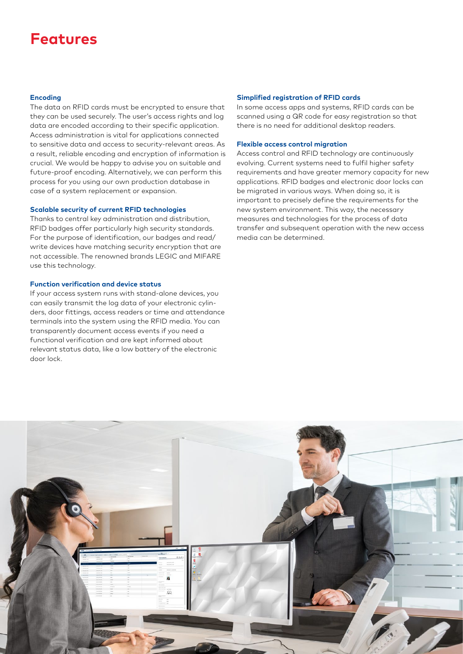## **Features**

#### **Encoding**

The data on RFID cards must be encrypted to ensure that they can be used securely. The user's access rights and log data are encoded according to their specific application. Access administration is vital for applications connected to sensitive data and access to security-relevant areas. As a result, reliable encoding and encryption of information is crucial. We would be happy to advise you on suitable and future-proof encoding. Alternatively, we can perform this process for you using our own production database in case of a system replacement or expansion.

#### **Scalable security of current RFID technologies**

Thanks to central key administration and distribution, RFID badges offer particularly high security standards. For the purpose of identification, our badges and read/ write devices have matching security encryption that are not accessible. The renowned brands LEGIC and MIFARE use this technology.

#### **Function verification and device status**

If your access system runs with stand-alone devices, you can easily transmit the log data of your electronic cylinders, door fittings, access readers or time and attendance terminals into the system using the RFID media. You can transparently document access events if you need a functional verification and are kept informed about relevant status data, like a low battery of the electronic door lock.

#### **Simplified registration of RFID cards**

In some access apps and systems, RFID cards can be scanned using a QR code for easy registration so that there is no need for additional desktop readers.

#### **Flexible access control migration**

Access control and RFID technology are continuously evolving. Current systems need to fulfil higher safety requirements and have greater memory capacity for new applications. RFID badges and electronic door locks can be migrated in various ways. When doing so, it is important to precisely define the requirements for the new system environment. This way, the necessary measures and technologies for the process of data transfer and subsequent operation with the new access media can be determined.